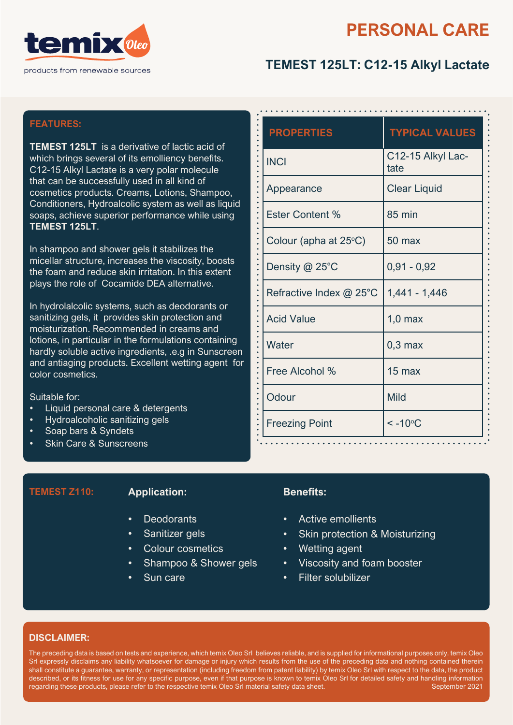

# **PERSONAL CARE**

# **TEMEST 125LT: C12-15 Alkyl Lactate**

## **FEATURES:**

**TEMEST 125LT** is a derivative of lactic acid of which brings several of its emolliency benefits. C12-15 Alkyl Lactate is a very polar molecule that can be successfully used in all kind of cosmetics products. Creams, Lotions, Shampoo, Conditioners, Hydroalcolic system as well as liquid soaps, achieve superior performance while using **TEMEST 125LT**.

In shampoo and shower gels it stabilizes the micellar structure, increases the viscosity, boosts the foam and reduce skin irritation. In this extent plays the role of Cocamide DEA alternative.

In hydrolalcolic systems, such as deodorants or sanitizing gels, it provides skin protection and moisturization. Recommended in creams and lotions, in particular in the formulations containing hardly soluble active ingredients, .e.g in Sunscreen and antiaging products. Excellent wetting agent for color cosmetics.

Suitable for:

- Liquid personal care & detergents
- Hydroalcoholic sanitizing gels
- Soap bars & Syndets
- **Skin Care & Sunscreens**

### **TEMEST Z110: Application:**

- **Deodorants**
- Sanitizer gels
- Colour cosmetics
- Shampoo & Shower gels
- Sun care

| <b>PROPERTIES</b>               | <b>TYPICAL VALUES</b>     |  |
|---------------------------------|---------------------------|--|
| <b>INCI</b>                     | C12-15 Alkyl Lac-<br>tate |  |
| Appearance                      | <b>Clear Liquid</b>       |  |
| <b>Ester Content %</b>          | <b>85 min</b>             |  |
| Colour (apha at $25^{\circ}$ C) | 50 max                    |  |
| Density @ 25°C                  | $0,91 - 0,92$             |  |
| Refractive Index @ 25°C         | 1,441 - 1,446             |  |
| <b>Acid Value</b>               | $1,0$ max                 |  |
| Water                           | $0,3$ max                 |  |
| Free Alcohol %                  | $15 \text{ max}$          |  |
| Odour                           | <b>Mild</b>               |  |
| <b>Freezing Point</b>           | $< -10$ °C                |  |

### **Benefits:**

- Active emollients
- Skin protection & Moisturizing
- Wetting agent
- Viscosity and foam booster
- Filter solubilizer

### **DISCLAIMER:**

The preceding data is based on tests and experience, which temix Oleo Srl believes reliable, and is supplied for informational purposes only. temix Oleo Srl expressly disclaims any liability whatsoever for damage or injury which results from the use of the preceding data and nothing contained therein shall constitute a guarantee, warranty, or representation (including freedom from patent liability) by temix Oleo Srl with respect to the data, the product described, or its fitness for use for any specific purpose, even if that purpose is known to temix Oleo Srl for detailed safety and handling information regarding these products, please refer to the respective temix Oleo Srl material safety data sheet. September 2021

**........**